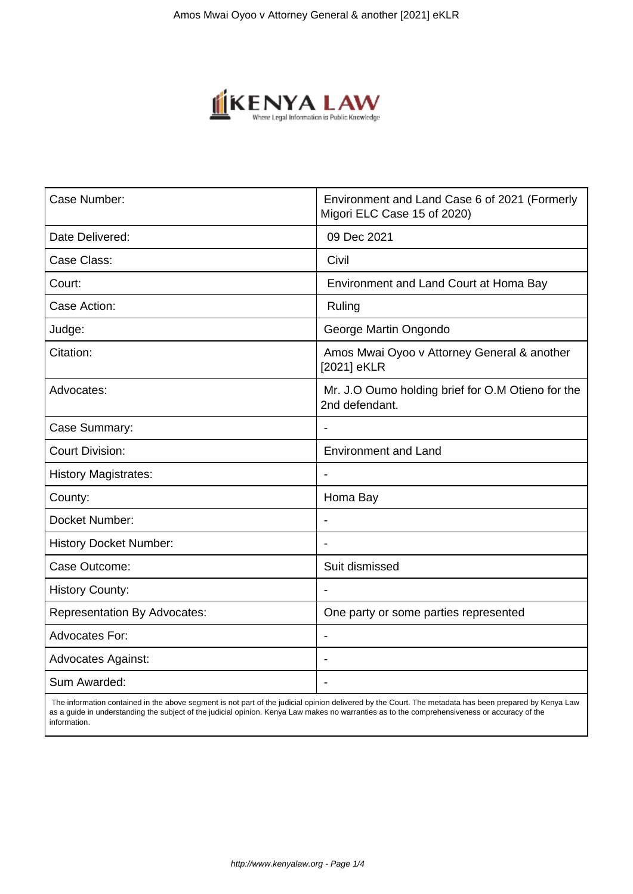

| Case Number:                        | Environment and Land Case 6 of 2021 (Formerly<br>Migori ELC Case 15 of 2020) |
|-------------------------------------|------------------------------------------------------------------------------|
| Date Delivered:                     | 09 Dec 2021                                                                  |
| Case Class:                         | Civil                                                                        |
| Court:                              | Environment and Land Court at Homa Bay                                       |
| Case Action:                        | Ruling                                                                       |
| Judge:                              | George Martin Ongondo                                                        |
| Citation:                           | Amos Mwai Oyoo v Attorney General & another<br>[2021] eKLR                   |
| Advocates:                          | Mr. J.O Oumo holding brief for O.M Otieno for the<br>2nd defendant.          |
| Case Summary:                       |                                                                              |
| <b>Court Division:</b>              | <b>Environment and Land</b>                                                  |
| <b>History Magistrates:</b>         | $\overline{\phantom{a}}$                                                     |
| County:                             | Homa Bay                                                                     |
| Docket Number:                      |                                                                              |
| <b>History Docket Number:</b>       |                                                                              |
| Case Outcome:                       | Suit dismissed                                                               |
| <b>History County:</b>              |                                                                              |
| <b>Representation By Advocates:</b> | One party or some parties represented                                        |
| <b>Advocates For:</b>               | $\overline{\phantom{a}}$                                                     |
| <b>Advocates Against:</b>           | $\blacksquare$                                                               |
| Sum Awarded:                        |                                                                              |

 The information contained in the above segment is not part of the judicial opinion delivered by the Court. The metadata has been prepared by Kenya Law as a guide in understanding the subject of the judicial opinion. Kenya Law makes no warranties as to the comprehensiveness or accuracy of the information.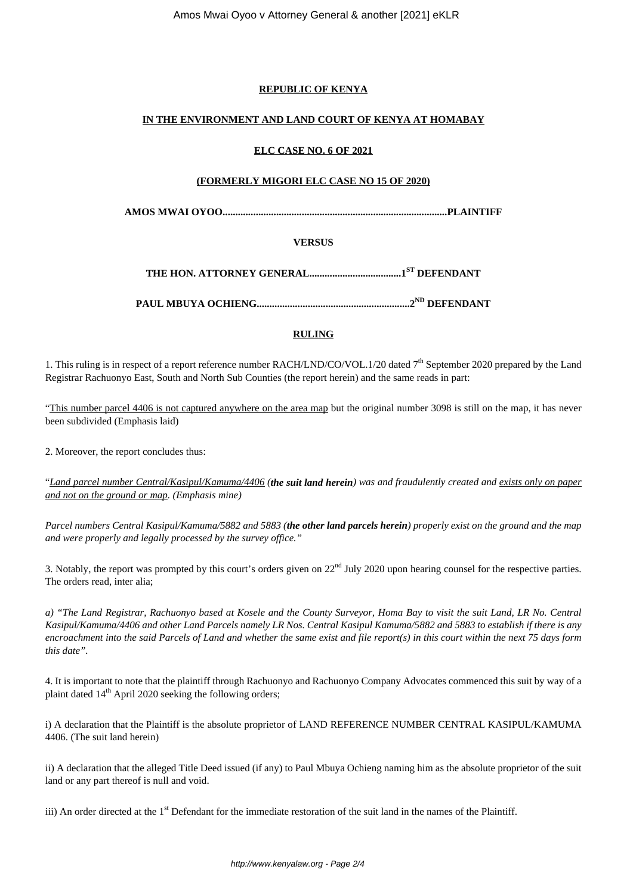# **REPUBLIC OF KENYA**

# **IN THE ENVIRONMENT AND LAND COURT OF KENYA AT HOMABAY**

### **ELC CASE NO. 6 OF 2021**

### **(FORMERLY MIGORI ELC CASE NO 15 OF 2020)**

**AMOS MWAI OYOO........................................................................................PLAINTIFF**

## **VERSUS**

**THE HON. ATTORNEY GENERAL....................................1ST DEFENDANT**

**PAUL MBUYA OCHIENG............................................................2ND DEFENDANT**

# **RULING**

1. This ruling is in respect of a report reference number RACH/LND/CO/VOL.1/20 dated 7<sup>th</sup> September 2020 prepared by the Land Registrar Rachuonyo East, South and North Sub Counties (the report herein) and the same reads in part:

"This number parcel 4406 is not captured anywhere on the area map but the original number 3098 is still on the map, it has never been subdivided (Emphasis laid)

2. Moreover, the report concludes thus:

"*Land parcel number Central/Kasipul/Kamuma/4406 (the suit land herein) was and fraudulently created and exists only on paper and not on the ground or map. (Emphasis mine)*

*Parcel numbers Central Kasipul/Kamuma/5882 and 5883 (the other land parcels herein) properly exist on the ground and the map and were properly and legally processed by the survey office."*

3. Notably, the report was prompted by this court's orders given on  $22<sup>nd</sup>$  July 2020 upon hearing counsel for the respective parties. The orders read, inter alia;

*a) "The Land Registrar, Rachuonyo based at Kosele and the County Surveyor, Homa Bay to visit the suit Land, LR No. Central Kasipul/Kamuma/4406 and other Land Parcels namely LR Nos. Central Kasipul Kamuma/5882 and 5883 to establish if there is any encroachment into the said Parcels of Land and whether the same exist and file report(s) in this court within the next 75 days form this date".*

4. It is important to note that the plaintiff through Rachuonyo and Rachuonyo Company Advocates commenced this suit by way of a plaint dated  $14<sup>th</sup>$  April 2020 seeking the following orders;

i) A declaration that the Plaintiff is the absolute proprietor of LAND REFERENCE NUMBER CENTRAL KASIPUL/KAMUMA 4406. (The suit land herein)

ii) A declaration that the alleged Title Deed issued (if any) to Paul Mbuya Ochieng naming him as the absolute proprietor of the suit land or any part thereof is null and void.

iii) An order directed at the 1<sup>st</sup> Defendant for the immediate restoration of the suit land in the names of the Plaintiff.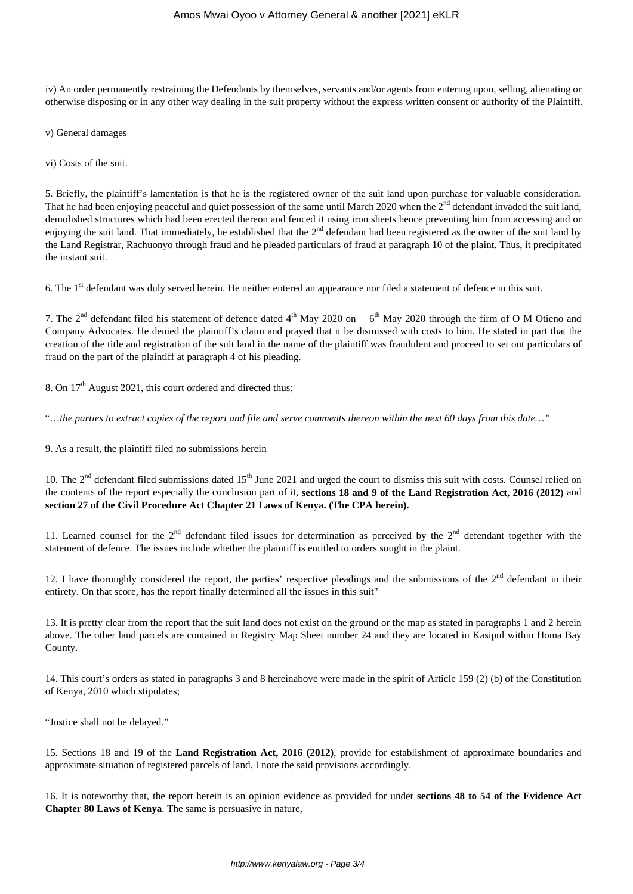iv) An order permanently restraining the Defendants by themselves, servants and/or agents from entering upon, selling, alienating or otherwise disposing or in any other way dealing in the suit property without the express written consent or authority of the Plaintiff.

v) General damages

vi) Costs of the suit.

5. Briefly, the plaintiff's lamentation is that he is the registered owner of the suit land upon purchase for valuable consideration. That he had been enjoying peaceful and quiet possession of the same until March 2020 when the  $2<sup>nd</sup>$  defendant invaded the suit land, demolished structures which had been erected thereon and fenced it using iron sheets hence preventing him from accessing and or enjoying the suit land. That immediately, he established that the 2<sup>nd</sup> defendant had been registered as the owner of the suit land by the Land Registrar, Rachuonyo through fraud and he pleaded particulars of fraud at paragraph 10 of the plaint. Thus, it precipitated the instant suit.

6. The 1st defendant was duly served herein. He neither entered an appearance nor filed a statement of defence in this suit.

7. The  $2^{nd}$  defendant filed his statement of defence dated  $4^{th}$  May 2020 on 6<sup>th</sup> May 2020 through the firm of O M Otieno and Company Advocates. He denied the plaintiff's claim and prayed that it be dismissed with costs to him. He stated in part that the creation of the title and registration of the suit land in the name of the plaintiff was fraudulent and proceed to set out particulars of fraud on the part of the plaintiff at paragraph 4 of his pleading.

8. On  $17<sup>th</sup>$  August 2021, this court ordered and directed thus;

"…*the parties to extract copies of the report and file and serve comments thereon within the next 60 days from this date…"*

9. As a result, the plaintiff filed no submissions herein

10. The  $2<sup>nd</sup>$  defendant filed submissions dated  $15<sup>th</sup>$  June 2021 and urged the court to dismiss this suit with costs. Counsel relied on the contents of the report especially the conclusion part of it, **sections 18 and 9 of the Land Registration Act, 2016 (2012)** and **section 27 of the Civil Procedure Act Chapter 21 Laws of Kenya. (The CPA herein).**

11. Learned counsel for the  $2^{nd}$  defendant filed issues for determination as perceived by the  $2^{nd}$  defendant together with the statement of defence. The issues include whether the plaintiff is entitled to orders sought in the plaint.

12. I have thoroughly considered the report, the parties' respective pleadings and the submissions of the  $2<sup>nd</sup>$  defendant in their entirety. On that score, has the report finally determined all the issues in this suit"

13. It is pretty clear from the report that the suit land does not exist on the ground or the map as stated in paragraphs 1 and 2 herein above. The other land parcels are contained in Registry Map Sheet number 24 and they are located in Kasipul within Homa Bay County.

14. This court's orders as stated in paragraphs 3 and 8 hereinabove were made in the spirit of Article 159 (2) (b) of the Constitution of Kenya, 2010 which stipulates;

"Justice shall not be delayed."

15. Sections 18 and 19 of the **Land Registration Act, 2016 (2012)**, provide for establishment of approximate boundaries and approximate situation of registered parcels of land. I note the said provisions accordingly.

16. It is noteworthy that, the report herein is an opinion evidence as provided for under **sections 48 to 54 of the Evidence Act Chapter 80 Laws of Kenya**. The same is persuasive in nature,